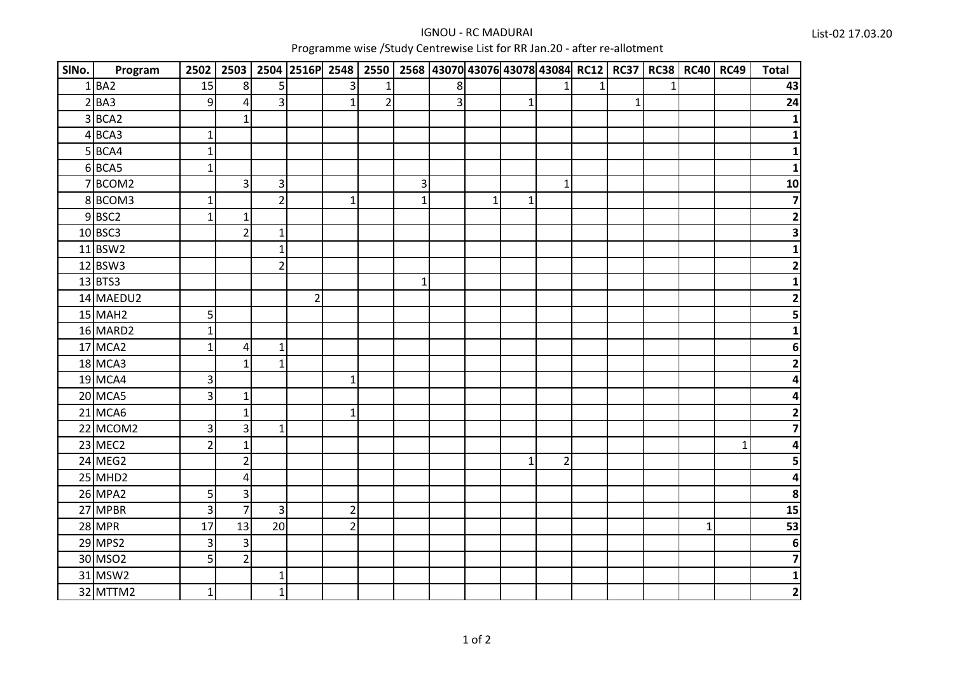## IGNOU - RC MADURAIProgramme wise /Study Centrewise List for RR Jan.20 - after re-allotment

| SINo. | Program               | 2502           |                         |                | 2503 2504 2516P 2548 2550 2568 43070 43076 43078 43084 RC12 RC37 RC38 RC40 RC49 |                |                |              |                |              |              |                |              |              |    |             |              | <b>Total</b>            |
|-------|-----------------------|----------------|-------------------------|----------------|---------------------------------------------------------------------------------|----------------|----------------|--------------|----------------|--------------|--------------|----------------|--------------|--------------|----|-------------|--------------|-------------------------|
|       | $1$ $BA2$             | 15             | 8 <sup>1</sup>          | 5              |                                                                                 | 3              | 1              |              | 8              |              |              |                | $\mathbf{1}$ |              | 1. |             |              | 43                      |
|       | $2$ BA3               | 9              | $\overline{\mathbf{4}}$ | $\overline{3}$ |                                                                                 | 1              | $\overline{2}$ |              | $\overline{3}$ |              | $\mathbf{1}$ |                |              | $\mathbf{1}$ |    |             |              | 24                      |
|       | $3$ BCA2              |                | $\mathbf{1}$            |                |                                                                                 |                |                |              |                |              |              |                |              |              |    |             |              | 1                       |
|       | 4BCA3                 | $\mathbf 1$    |                         |                |                                                                                 |                |                |              |                |              |              |                |              |              |    |             |              | 1                       |
|       | $5$ BCA4              | $\mathbf{1}$   |                         |                |                                                                                 |                |                |              |                |              |              |                |              |              |    |             |              |                         |
|       | 6BCA5                 | $\overline{1}$ |                         |                |                                                                                 |                |                |              |                |              |              |                |              |              |    |             |              | 1                       |
|       | 7BCOM2                |                | $\overline{\mathbf{3}}$ | 3              |                                                                                 |                |                | $\mathsf 3$  |                |              |              | $\mathbf{1}$   |              |              |    |             |              | 10                      |
|       | 8BCOM3                | $\mathbf{1}$   |                         | $\overline{2}$ |                                                                                 | $\mathbf{1}$   |                | $\mathbf{1}$ |                | $\mathbf{1}$ | $\mathbf{1}$ |                |              |              |    |             |              | $\overline{\mathbf{z}}$ |
|       | $9$ BSC2              | $\mathbf{1}$   | $\mathbf{1}$            |                |                                                                                 |                |                |              |                |              |              |                |              |              |    |             |              | $\overline{\mathbf{c}}$ |
|       | 10 BSC3               |                | $\overline{2}$          | $\mathbf{1}$   |                                                                                 |                |                |              |                |              |              |                |              |              |    |             |              | 3                       |
|       | 11 BSW2               |                |                         | $\mathbf{1}$   |                                                                                 |                |                |              |                |              |              |                |              |              |    |             |              | 1                       |
|       | 12 BSW3               |                |                         | $\overline{2}$ |                                                                                 |                |                |              |                |              |              |                |              |              |    |             |              | $\mathbf{2}$            |
|       | $13$ BTS3             |                |                         |                |                                                                                 |                |                | $\mathbf{1}$ |                |              |              |                |              |              |    |             |              | $\mathbf{1}$            |
|       | 14 MAEDU2             |                |                         |                | $\overline{2}$                                                                  |                |                |              |                |              |              |                |              |              |    |             |              | $\overline{\mathbf{c}}$ |
|       | $15$ MAH <sub>2</sub> | 5              |                         |                |                                                                                 |                |                |              |                |              |              |                |              |              |    |             |              | 5                       |
|       | 16 MARD2              | $\mathbf{1}$   |                         |                |                                                                                 |                |                |              |                |              |              |                |              |              |    |             |              | 1                       |
|       | 17 MCA2               | $\overline{1}$ | 4                       | $\mathbf{1}$   |                                                                                 |                |                |              |                |              |              |                |              |              |    |             |              | 6                       |
|       | 18 MCA3               |                | $\mathbf{1}$            | $\mathbf{1}$   |                                                                                 |                |                |              |                |              |              |                |              |              |    |             |              | 2                       |
|       | <b>19 MCA4</b>        | 3              |                         |                |                                                                                 | $\mathbf{1}$   |                |              |                |              |              |                |              |              |    |             |              |                         |
|       | 20 MCA5               | 3              | $\mathbf{1}$            |                |                                                                                 |                |                |              |                |              |              |                |              |              |    |             |              | 4                       |
|       | <b>21 MCA6</b>        |                | $\mathbf{1}$            |                |                                                                                 | 1              |                |              |                |              |              |                |              |              |    |             |              | 2                       |
|       | 22 MCOM2              | $\vert$ 3      | $\overline{3}$          | $\mathbf{1}$   |                                                                                 |                |                |              |                |              |              |                |              |              |    |             |              | $\overline{7}$          |
|       | 23 MEC2               | $\overline{2}$ | 1                       |                |                                                                                 |                |                |              |                |              |              |                |              |              |    |             | $\mathbf{1}$ | 4                       |
|       | 24 MEG2               |                | $\overline{2}$          |                |                                                                                 |                |                |              |                |              | 1            | $\overline{2}$ |              |              |    |             |              | 5                       |
|       | <b>25 MHD2</b>        |                | 4                       |                |                                                                                 |                |                |              |                |              |              |                |              |              |    |             |              | 4                       |
|       | 26 MPA2               | 5              | 3                       |                |                                                                                 |                |                |              |                |              |              |                |              |              |    |             |              | 8                       |
|       | 27 MPBR               | 3              | $\overline{7}$          | $\overline{3}$ |                                                                                 | $\overline{2}$ |                |              |                |              |              |                |              |              |    |             |              | $\overline{15}$         |
|       | <b>28 MPR</b>         | 17             | 13                      | 20             |                                                                                 | $\overline{2}$ |                |              |                |              |              |                |              |              |    | $\mathbf 1$ |              | 53                      |
|       | 29 MPS2               | $\overline{3}$ | $\overline{\mathbf{3}}$ |                |                                                                                 |                |                |              |                |              |              |                |              |              |    |             |              | $\boldsymbol{6}$        |
|       | 30 MSO2               | 5              | $\overline{2}$          |                |                                                                                 |                |                |              |                |              |              |                |              |              |    |             |              | $\overline{\mathbf{z}}$ |
|       | 31 MSW2               |                |                         | $\mathbf{1}$   |                                                                                 |                |                |              |                |              |              |                |              |              |    |             |              | $\mathbf 1$             |
|       | 32 MTTM2              | $\mathbf{1}$   |                         | $\mathbf{1}$   |                                                                                 |                |                |              |                |              |              |                |              |              |    |             |              | $\mathbf{2}$            |